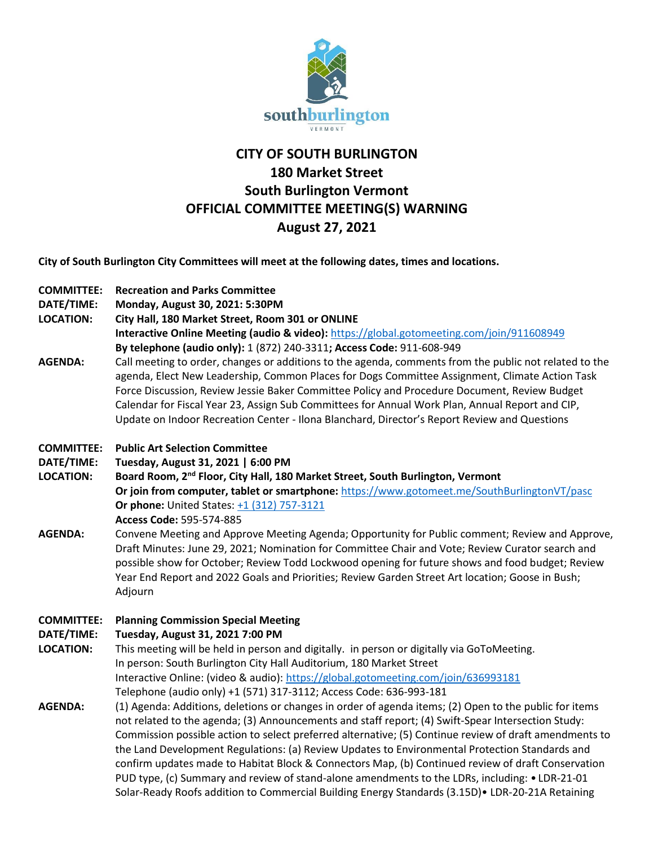

# **CITY OF SOUTH BURLINGTON 180 Market Street South Burlington Vermont OFFICIAL COMMITTEE MEETING(S) WARNING August 27, 2021**

**City of South Burlington City Committees will meet at the following dates, times and locations.** 

| <b>COMMITTEE:</b> | <b>Recreation and Parks Committee</b> |
|-------------------|---------------------------------------|
|                   |                                       |

**DATE/TIME: Monday, August 30, 2021: 5:30PM**

**LOCATION: City Hall, 180 Market Street, Room 301 or ONLINE**

**Interactive Online Meeting (audio & video):** <https://global.gotomeeting.com/join/911608949> **By telephone (audio only):** 1 (872) 240-3311**; Access Code:** 911-608-949

**AGENDA:** Call meeting to order, changes or additions to the agenda, comments from the public not related to the agenda, Elect New Leadership, Common Places for Dogs Committee Assignment, Climate Action Task Force Discussion, Review Jessie Baker Committee Policy and Procedure Document, Review Budget Calendar for Fiscal Year 23, Assign Sub Committees for Annual Work Plan, Annual Report and CIP, Update on Indoor Recreation Center - Ilona Blanchard, Director's Report Review and Questions

### **COMMITTEE: Public Art Selection Committee**

**DATE/TIME: Tuesday, August 31, 2021 | 6:00 PM**

- **LOCATION: Board Room, 2nd Floor, City Hall, 180 Market Street, South Burlington, Vermont Or join from computer, tablet or smartphone:** <https://www.gotomeet.me/SouthBurlingtonVT/pasc> **Or phone:** United States:  $+1$  (312) 757-3121 **Access Code:** 595-574-885
- **AGENDA:** Convene Meeting and Approve Meeting Agenda; Opportunity for Public comment; Review and Approve, Draft Minutes: June 29, 2021; Nomination for Committee Chair and Vote; Review Curator search and possible show for October; Review Todd Lockwood opening for future shows and food budget; Review Year End Report and 2022 Goals and Priorities; Review Garden Street Art location; Goose in Bush; Adjourn

### **COMMITTEE: Planning Commission Special Meeting**

### **DATE/TIME: Tuesday, August 31, 2021 7:00 PM**

- **LOCATION:** This meeting will be held in person and digitally. in person or digitally via GoToMeeting. In person: South Burlington City Hall Auditorium, 180 Market Street Interactive Online: (video & audio)[: https://global.gotomeeting.com/join/636993181](https://global.gotomeeting.com/join/636993181) Telephone (audio only) +1 (571) 317-3112; Access Code: 636-993-181
- **AGENDA:** (1) Agenda: Additions, deletions or changes in order of agenda items; (2) Open to the public for items not related to the agenda; (3) Announcements and staff report; (4) Swift-Spear Intersection Study: Commission possible action to select preferred alternative; (5) Continue review of draft amendments to the Land Development Regulations: (a) Review Updates to Environmental Protection Standards and confirm updates made to Habitat Block & Connectors Map, (b) Continued review of draft Conservation PUD type, (c) Summary and review of stand-alone amendments to the LDRs, including: • LDR-21-01 Solar-Ready Roofs addition to Commercial Building Energy Standards (3.15D)• LDR-20-21A Retaining